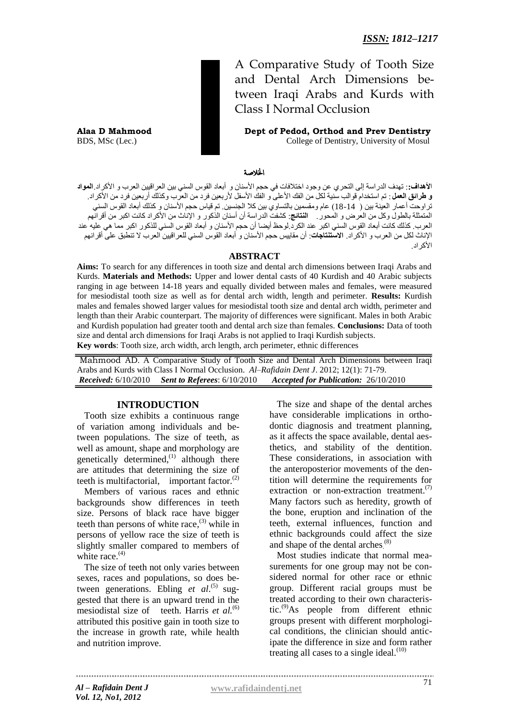A Comparative Study of Tooth Size and Dental Arch Dimensions between Iraqi Arabs and Kurds with Class I Normal Occlusion

**Alaa D Mahmood Dept of Pedod, Orthod and Prev Dentistry** BDS, MSc (Lec.) College of Dentistry, University of Mosul

#### اخلالصة

ا**ألهداف**:**:** جهذف انذراسة إنى انححزي عٍ وجىد اخحالفات فً حجى األسُاٌ و أتعاد انقىس انسًُ تٍٍ انعزاقٍٍٍ انعزب و األكزاد.**المواد و طرائق العمل** : تم استخدام قوالب سنية لكل من الفك الأعلى و الفك الأسفل لأربعين فرد من العرب وكذلك أربعين فرد من الأكراد<sub>.</sub> تراوحت أعمار العينة بين ( 14-18) عام ومقسمين بالتساوي بين كلا الجنسين تم قياس حجم الأسنان و كذلك أبعاد القوس السني المتمثلة بالطول وكل من العرض و المحور <sub>.</sub> ا**لنتائج**: كشفت الدراسة أن أسنان الذكور و الإناث من الأكراد كانت اكبر من أقرانهم العرب. كذلك كانت أبعاد القوس السنى اكبر عند الكرد.لوحظ أيضا أن حجم الأسنان و أبعاد القوس السنى للذكور اكبر مما هي عليه عند الإناث لكل من العرب و الأكراد. الاس**تنتاجات**: أن مقاييس حجم الأسنان و أبعاد القوس السني للعراقيين العرب لا تنطبق على أقرانهم الأكر اد

#### **ABSTRACT**

**Aims:** To search for any differences in tooth size and dental arch dimensions between Iraqi Arabs and Kurds. **Materials and Methods:** Upper and lower dental casts of 40 Kurdish and 40 Arabic subjects ranging in age between 14-18 years and equally divided between males and females, were measured for mesiodistal tooth size as well as for dental arch width, length and perimeter. **Results:** Kurdish males and females showed larger values for mesiodistal tooth size and dental arch width, perimeter and length than their Arabic counterpart. The majority of differences were significant. Males in both Arabic and Kurdish population had greater tooth and dental arch size than females. **Conclusions:** Data of tooth size and dental arch dimensions for Iraqi Arabs is not applied to Iraqi Kurdish subjects. **Key words**: Tooth size, arch width, arch length, arch perimeter, ethnic differences

Mahmood AD. A Comparative Study of Tooth Size and Dental Arch Dimensions between Iraqi Arabs and Kurds with Class I Normal Occlusion. *Al–Rafidain Dent J*. 2012; 12(1): 71-79. *Received:* 6/10/2010 *Sent to Referees*: 6/10/2010 *Accepted for Publication:* 26/10/2010

#### **INTRODUCTION**

Tooth size exhibits a continuous range of variation among individuals and between populations. The size of teeth, as well as amount, shape and morphology are genetically determined,<sup>(1)</sup> although there are attitudes that determining the size of teeth is multifactorial, important factor. $^{(2)}$ 

Members of various races and ethnic backgrounds show differences in teeth size. Persons of black race have bigger teeth than persons of white race, (3) while in persons of yellow race the size of teeth is slightly smaller compared to members of white race.<sup>(4)</sup>

The size of teeth not only varies between sexes, races and populations, so does between generations. Ebling *et al.*<sup>(5)</sup> suggested that there is an upward trend in the mesiodistal size of teeth. Harris *et al.*<sup>(6)</sup> attributed this positive gain in tooth size to the increase in growth rate, while health and nutrition improve.

The size and shape of the dental arches have considerable implications in orthodontic diagnosis and treatment planning, as it affects the space available, dental aesthetics, and stability of the dentition. These considerations, in association with the anteroposterior movements of the dentition will determine the requirements for extraction or non-extraction treatment.<sup>(7)</sup> Many factors such as heredity, growth of the bone, eruption and inclination of the teeth, external influences, function and ethnic backgrounds could affect the size and shape of the dental arches.<sup>(8)</sup>

Most studies indicate that normal measurements for one group may not be considered normal for other race or ethnic group. Different racial groups must be treated according to their own characteristic. $^{(9)}$ As people from different ethnic groups present with different morphological conditions, the clinician should anticipate the difference in size and form rather treating all cases to a single ideal. $(10)$ 

71 *Al – Rafidain Dent J* **[www.rafidaindentj.net](file:///I:\7(1)%20fi\www.rafidaindentj.net)**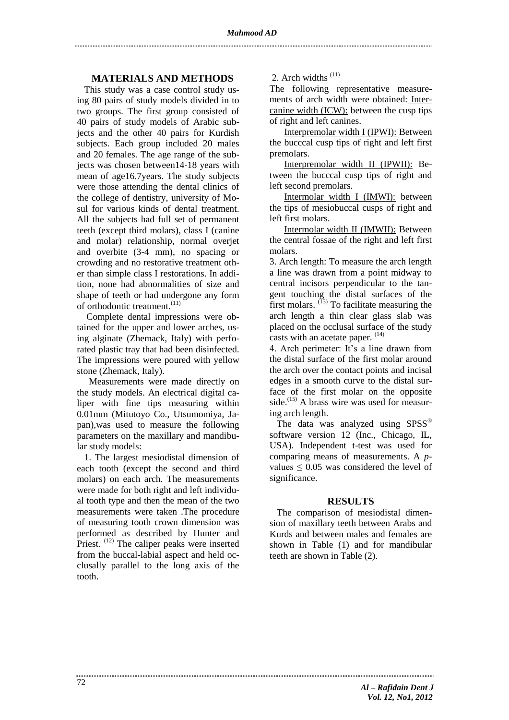## **MATERIALS AND METHODS**

This study was a case control study using 80 pairs of study models divided in to two groups. The first group consisted of 40 pairs of study models of Arabic subjects and the other 40 pairs for Kurdish subjects. Each group included 20 males and 20 females. The age range of the subjects was chosen between14-18 years with mean of age16.7years. The study subjects were those attending the dental clinics of the college of dentistry, university of Mosul for various kinds of dental treatment. All the subjects had full set of permanent teeth (except third molars), class I (canine and molar) relationship, normal overjet and overbite (3-4 mm), no spacing or crowding and no restorative treatment other than simple class I restorations. In addition, none had abnormalities of size and shape of teeth or had undergone any form of orthodontic treatment.<sup>(11)</sup>

Complete dental impressions were obtained for the upper and lower arches, using alginate (Zhemack, Italy) with perforated plastic tray that had been disinfected. The impressions were poured with yellow stone (Zhemack, Italy).

 Measurements were made directly on the study models. An electrical digital caliper with fine tips measuring within 0.01mm (Mitutoyo Co., Utsumomiya, Japan),was used to measure the following parameters on the maxillary and mandibular study models:

1. The largest mesiodistal dimension of each tooth (except the second and third molars) on each arch. The measurements were made for both right and left individual tooth type and then the mean of the two measurements were taken .The procedure of measuring tooth crown dimension was performed as described by Hunter and Priest.<sup>(12)</sup> The caliper peaks were inserted from the buccal-labial aspect and held occlusally parallel to the long axis of the tooth.

2. Arch widths <sup>(11)</sup>

The following representative measurements of arch width were obtained: Intercanine width (ICW): between the cusp tips of right and left canines.

Interpremolar width I (IPWI): Between the bucccal cusp tips of right and left first premolars.

Interpremolar width II (IPWII): Between the bucccal cusp tips of right and left second premolars.

Intermolar width I (IMWI): between the tips of mesiobuccal cusps of right and left first molars.

Intermolar width II (IMWII): Between the central fossae of the right and left first molars.

3. Arch length: To measure the arch length a line was drawn from a point midway to central incisors perpendicular to the tangent touching the distal surfaces of the first molars.  $^{(13)}$  To facilitate measuring the arch length a thin clear glass slab was placed on the occlusal surface of the study casts with an acetate paper.  $(14)$ 

4. Arch perimeter: It's a line drawn from the distal surface of the first molar around the arch over the contact points and incisal edges in a smooth curve to the distal surface of the first molar on the opposite side. $^{(15)}$  A brass wire was used for measuring arch length.

The data was analyzed using SPSS<sup>®</sup> software version 12 (Inc., Chicago, IL, USA). Independent t-test was used for comparing means of measurements. A *p*values  $\leq 0.05$  was considered the level of significance.

#### **RESULTS**

The comparison of mesiodistal dimension of maxillary teeth between Arabs and Kurds and between males and females are shown in Table (1) and for mandibular teeth are shown in Table (2).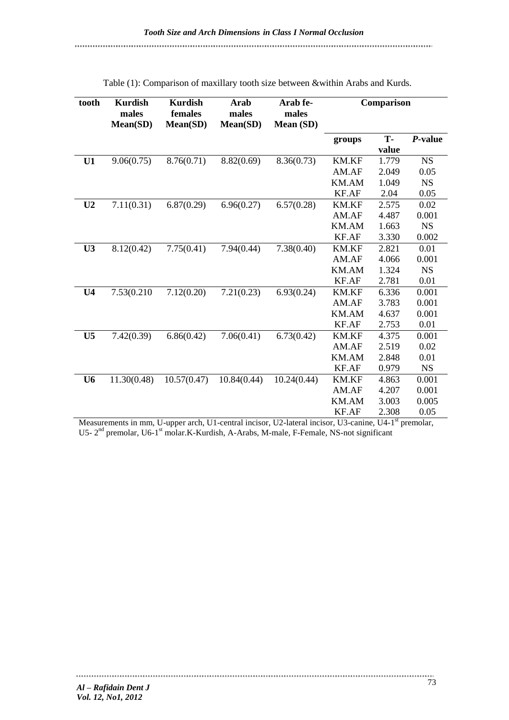| tooth          | <b>Kurdish</b><br>males<br>Mean(SD) | <b>Kurdish</b><br>females<br>Mean(SD) | Arab<br>males<br>Mean(SD) | Arab fe-<br>males<br>Mean (SD) | Comparison   |       |           |
|----------------|-------------------------------------|---------------------------------------|---------------------------|--------------------------------|--------------|-------|-----------|
|                |                                     |                                       |                           |                                | groups       | T-    | P-value   |
|                |                                     |                                       |                           |                                |              | value |           |
| U1             | 9.06(0.75)                          | 8.76(0.71)                            | 8.82(0.69)                | 8.36(0.73)                     | <b>KM.KF</b> | 1.779 | <b>NS</b> |
|                |                                     |                                       |                           |                                | AM.AF        | 2.049 | 0.05      |
|                |                                     |                                       |                           |                                | KM.AM        | 1.049 | <b>NS</b> |
|                |                                     |                                       |                           |                                | KF.AF        | 2.04  | 0.05      |
| U <sub>2</sub> | 7.11(0.31)                          | 6.87(0.29)                            | 6.96(0.27)                | 6.57(0.28)                     | <b>KM.KF</b> | 2.575 | 0.02      |
|                |                                     |                                       |                           |                                | AM.AF        | 4.487 | 0.001     |
|                |                                     |                                       |                           |                                | KM.AM        | 1.663 | <b>NS</b> |
|                |                                     |                                       |                           |                                | KF.AF        | 3.330 | 0.002     |
| U3             | 8.12(0.42)                          | 7.75(0.41)                            | 7.94(0.44)                | 7.38(0.40)                     | KM.KF        | 2.821 | 0.01      |
|                |                                     |                                       |                           |                                | AM.AF        | 4.066 | 0.001     |
|                |                                     |                                       |                           |                                | KM.AM        | 1.324 | <b>NS</b> |
|                |                                     |                                       |                           |                                | KF.AF        | 2.781 | 0.01      |
| U <sub>4</sub> | 7.53(0.210                          | 7.12(0.20)                            | 7.21(0.23)                | 6.93(0.24)                     | <b>KM.KF</b> | 6.336 | 0.001     |
|                |                                     |                                       |                           |                                | AM.AF        | 3.783 | 0.001     |
|                |                                     |                                       |                           |                                | KM.AM        | 4.637 | 0.001     |
|                |                                     |                                       |                           |                                | KF.AF        | 2.753 | 0.01      |
| U <sub>5</sub> | 7.42(0.39)                          | 6.86(0.42)                            | 7.06(0.41)                | 6.73(0.42)                     | <b>KM.KF</b> | 4.375 | 0.001     |
|                |                                     |                                       |                           |                                | AM.AF        | 2.519 | 0.02      |
|                |                                     |                                       |                           |                                | KM.AM        | 2.848 | 0.01      |
|                |                                     |                                       |                           |                                | KF.AF        | 0.979 | <b>NS</b> |
| U <sub>6</sub> | 11.30(0.48)                         | 10.57(0.47)                           | 10.84(0.44)               | 10.24(0.44)                    | <b>KM.KF</b> | 4.863 | 0.001     |
|                |                                     |                                       |                           |                                | AM.AF        | 4.207 | 0.001     |
|                |                                     |                                       |                           |                                | <b>KM.AM</b> | 3.003 | 0.005     |
|                |                                     |                                       |                           |                                | KF.AF        | 2.308 | 0.05      |

Table (1): Comparison of maxillary tooth size between &within Arabs and Kurds.

Measurements in mm, U-upper arch, U1-central incisor, U2-lateral incisor, U3-canine, U4-1<sup>st</sup> premolar, U5- 2<sup>nd</sup> premolar, U6-1<sup>st</sup> molar.K-Kurdish, A-Arabs, M-male, F-Female, NS-not significant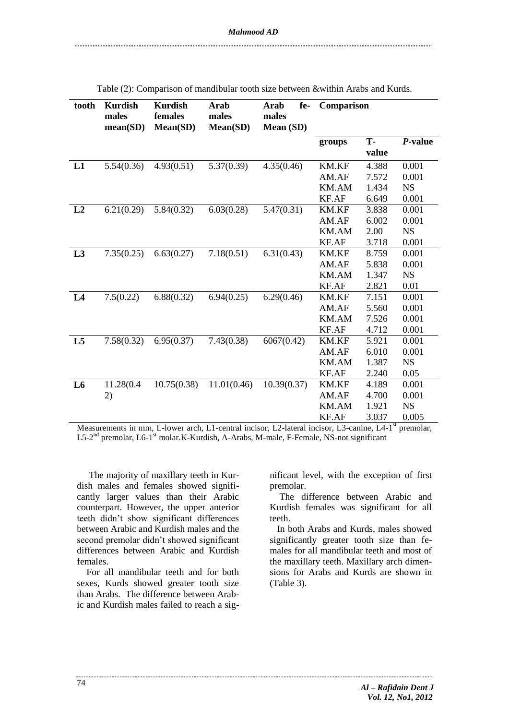| tooth          | <b>Kurdish</b><br>males<br>mean(SD) | <b>Kurdish</b><br>females<br><b>Mean(SD)</b> | Arab<br>males<br>Mean(SD) | fe-<br>Arab<br>males<br><b>Mean</b> (SD) | Comparison   |             |           |
|----------------|-------------------------------------|----------------------------------------------|---------------------------|------------------------------------------|--------------|-------------|-----------|
|                |                                     |                                              |                           |                                          | groups       | T-<br>value | P-value   |
| L1             | 5.54(0.36)                          | 4.93(0.51)                                   | 5.37(0.39)                | 4.35(0.46)                               | <b>KM.KF</b> | 4.388       | 0.001     |
|                |                                     |                                              |                           |                                          | AM.AF        | 7.572       | 0.001     |
|                |                                     |                                              |                           |                                          | KM.AM        | 1.434       | <b>NS</b> |
|                |                                     |                                              |                           |                                          | KF.AF        | 6.649       | 0.001     |
| L2             | 6.21(0.29)                          | 5.84(0.32)                                   | 6.03(0.28)                | 5.47(0.31)                               | KM.KF        | 3.838       | 0.001     |
|                |                                     |                                              |                           |                                          | AM.AF        | 6.002       | 0.001     |
|                |                                     |                                              |                           |                                          | KM.AM        | 2.00        | <b>NS</b> |
|                |                                     |                                              |                           |                                          | KF.AF        | 3.718       | 0.001     |
| L3             | 7.35(0.25)                          | 6.63(0.27)                                   | 7.18(0.51)                | 6.31(0.43)                               | <b>KM.KF</b> | 8.759       | 0.001     |
|                |                                     |                                              |                           |                                          | AM.AF        | 5.838       | 0.001     |
|                |                                     |                                              |                           |                                          | KM.AM        | 1.347       | <b>NS</b> |
|                |                                     |                                              |                           |                                          | KF.AF        | 2.821       | 0.01      |
| L4             | 7.5(0.22)                           | 6.88(0.32)                                   | 6.94(0.25)                | 6.29(0.46)                               | KM.KF        | 7.151       | 0.001     |
|                |                                     |                                              |                           |                                          | AM.AF        | 5.560       | 0.001     |
|                |                                     |                                              |                           |                                          | KM.AM        | 7.526       | 0.001     |
|                |                                     |                                              |                           |                                          | KF.AF        | 4.712       | 0.001     |
| L5             | 7.58(0.32)                          | 6.95(0.37)                                   | 7.43(0.38)                | 6067(0.42)                               | <b>KM.KF</b> | 5.921       | 0.001     |
|                |                                     |                                              |                           |                                          | AM.AF        | 6.010       | 0.001     |
|                |                                     |                                              |                           |                                          | KM.AM        | 1.387       | <b>NS</b> |
|                |                                     |                                              |                           |                                          | KF.AF        | 2.240       | 0.05      |
| L <sub>6</sub> | 11.28(0.4                           | 10.75(0.38)                                  | 11.01(0.46)               | 10.39(0.37)                              | KM.KF        | 4.189       | 0.001     |
|                | 2)                                  |                                              |                           |                                          | AM.AF        | 4.700       | 0.001     |
|                |                                     |                                              |                           |                                          | KM.AM        | 1.921       | <b>NS</b> |
|                |                                     |                                              |                           |                                          | <b>KF.AF</b> | 3.037       | 0.005     |

Table (2): Comparison of mandibular tooth size between &within Arabs and Kurds.

Measurements in mm, L-lower arch, L1-central incisor, L2-lateral incisor, L3-canine, L4-1<sup>st</sup> premolar, L5-2<sup>nd</sup> premolar, L6-1<sup>st</sup> molar.K-Kurdish, A-Arabs, M-male, F-Female, NS-not significant

 The majority of maxillary teeth in Kurdish males and females showed significantly larger values than their Arabic counterpart. However, the upper anterior teeth didn't show significant differences between Arabic and Kurdish males and the second premolar didn't showed significant differences between Arabic and Kurdish females.

For all mandibular teeth and for both sexes, Kurds showed greater tooth size than Arabs. The difference between Arabic and Kurdish males failed to reach a significant level, with the exception of first premolar.

The difference between Arabic and Kurdish females was significant for all teeth.

In both Arabs and Kurds, males showed significantly greater tooth size than females for all mandibular teeth and most of the maxillary teeth. Maxillary arch dimensions for Arabs and Kurds are shown in (Table 3).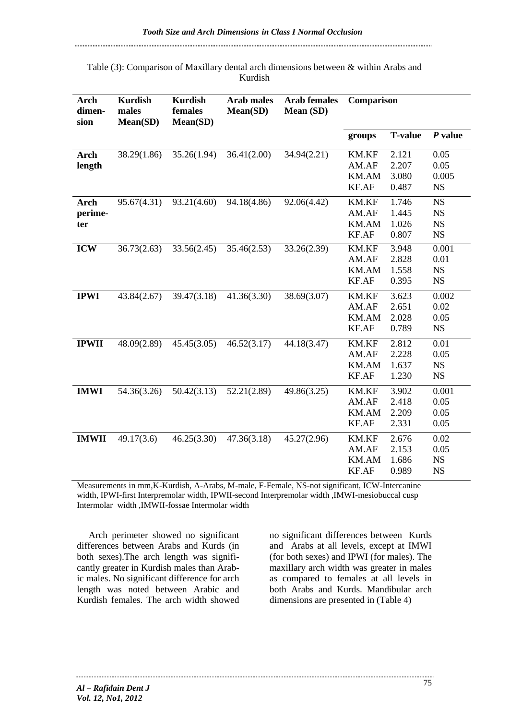Table (3): Comparison of Maxillary dental arch dimensions between & within Arabs and Kurdish

| <b>Arch</b><br>dimen-<br>sion | <b>Kurdish</b><br>males<br>Mean(SD) | <b>Kurdish</b><br>females<br>Mean(SD) | <b>Arab males</b><br>Mean(SD) | <b>Arab females</b><br>Mean (SD) | Comparison                              |                                  |                                                  |
|-------------------------------|-------------------------------------|---------------------------------------|-------------------------------|----------------------------------|-----------------------------------------|----------------------------------|--------------------------------------------------|
|                               |                                     |                                       |                               |                                  | groups                                  | <b>T-value</b>                   | $P$ value                                        |
| <b>Arch</b><br>length         | 38.29(1.86)                         | 35.26(1.94)                           | 36.41(2.00)                   | 34.94(2.21)                      | KM.KF<br>AM.AF<br>KM.AM<br>KF.AF        | 2.121<br>2.207<br>3.080<br>0.487 | 0.05<br>0.05<br>0.005<br><b>NS</b>               |
| <b>Arch</b><br>perime-<br>ter | 95.67(4.31)                         | 93.21(4.60)                           | 94.18(4.86)                   | 92.06(4.42)                      | <b>KM.KF</b><br>AM.AF<br>KM.AM<br>KF.AF | 1.746<br>1.445<br>1.026<br>0.807 | <b>NS</b><br><b>NS</b><br><b>NS</b><br><b>NS</b> |
| <b>ICW</b>                    | 36.73(2.63)                         | 33.56(2.45)                           | 35.46(2.53)                   | 33.26(2.39)                      | <b>KM.KF</b><br>AM.AF<br>KM.AM<br>KF.AF | 3.948<br>2.828<br>1.558<br>0.395 | 0.001<br>0.01<br>NS<br><b>NS</b>                 |
| <b>IPWI</b>                   | 43.84(2.67)                         | 39.47(3.18)                           | 41.36(3.30)                   | 38.69(3.07)                      | <b>KM.KF</b><br>AM.AF<br>KM.AM<br>KF.AF | 3.623<br>2.651<br>2.028<br>0.789 | 0.002<br>0.02<br>0.05<br><b>NS</b>               |
| <b>IPWII</b>                  | 48.09(2.89)                         | 45.45(3.05)                           | 46.52(3.17)                   | 44.18(3.47)                      | <b>KM.KF</b><br>AM.AF<br>KM.AM<br>KF.AF | 2.812<br>2.228<br>1.637<br>1.230 | 0.01<br>0.05<br><b>NS</b><br>$_{\rm NS}$         |
| <b>IMWI</b>                   | 54.36(3.26)                         | 50.42(3.13)                           | 52.21(2.89)                   | 49.86(3.25)                      | <b>KM.KF</b><br>AM.AF<br>KM.AM<br>KF.AF | 3.902<br>2.418<br>2.209<br>2.331 | 0.001<br>0.05<br>0.05<br>0.05                    |
| <b>IMWII</b>                  | 49.17(3.6)                          | 46.25(3.30)                           | 47.36(3.18)                   | 45.27(2.96)                      | <b>KM.KF</b><br>AM.AF<br>KM.AM<br>KF.AF | 2.676<br>2.153<br>1.686<br>0.989 | 0.02<br>0.05<br>NS<br><b>NS</b>                  |

Measurements in mm,K-Kurdish, A-Arabs, M-male, F-Female, NS-not significant, ICW-Intercanine width, IPWI-first Interpremolar width, IPWII-second Interpremolar width ,IMWI-mesiobuccal cusp Intermolar width ,IMWII-fossae Intermolar width

 Arch perimeter showed no significant differences between Arabs and Kurds (in both sexes).The arch length was significantly greater in Kurdish males than Arabic males. No significant difference for arch length was noted between Arabic and Kurdish females. The arch width showed no significant differences between Kurds and Arabs at all levels, except at IMWI (for both sexes) and IPWI (for males). The maxillary arch width was greater in males as compared to females at all levels in both Arabs and Kurds. Mandibular arch dimensions are presented in (Table 4)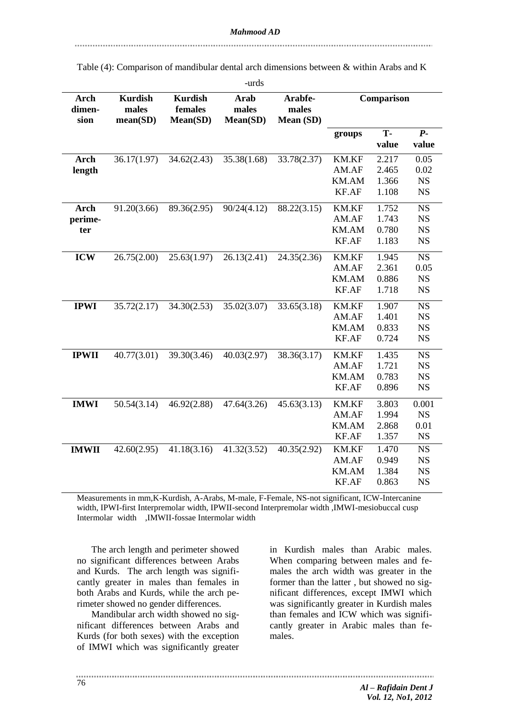|                               |                                     |                                       | -urds                     |                               |                                         |                                  |                                                  |
|-------------------------------|-------------------------------------|---------------------------------------|---------------------------|-------------------------------|-----------------------------------------|----------------------------------|--------------------------------------------------|
| <b>Arch</b><br>dimen-<br>sion | <b>Kurdish</b><br>males<br>mean(SD) | <b>Kurdish</b><br>females<br>Mean(SD) | Arab<br>males<br>Mean(SD) | Arabfe-<br>males<br>Mean (SD) | Comparison                              |                                  |                                                  |
|                               |                                     |                                       |                           |                               | groups                                  | T-<br>value                      | $P -$<br>value                                   |
| Arch<br>length                | 36.17(1.97)                         | 34.62(2.43)                           | 35.38(1.68)               | 33.78(2.37)                   | <b>KM.KF</b><br>AM.AF<br>KM.AM<br>KF.AF | 2.217<br>2.465<br>1.366<br>1.108 | 0.05<br>0.02<br><b>NS</b><br>NS                  |
| Arch<br>perime-<br>ter        | 91.20(3.66)                         | 89.36(2.95)                           | 90/24(4.12)               | 88.22(3.15)                   | KM.KF<br>AM.AF<br>KM.AM<br>KF.AF        | 1.752<br>1.743<br>0.780<br>1.183 | <b>NS</b><br>NS<br><b>NS</b><br><b>NS</b>        |
| <b>ICW</b>                    | 26.75(2.00)                         | 25.63(1.97)                           | 26.13(2.41)               | 24.35(2.36)                   | <b>KM.KF</b><br>AM.AF<br>KM.AM<br>KF.AF | 1.945<br>2.361<br>0.886<br>1.718 | <b>NS</b><br>0.05<br>$_{\rm NS}$<br>NS           |
| <b>IPWI</b>                   | 35.72(2.17)                         | 34.30(2.53)                           | 35.02(3.07)               | 33.65(3.18)                   | KM.KF<br>AM.AF<br>KM.AM<br>KF.AF        | 1.907<br>1.401<br>0.833<br>0.724 | <b>NS</b><br><b>NS</b><br><b>NS</b><br><b>NS</b> |
| <b>IPWII</b>                  | 40.77(3.01)                         | 39.30(3.46)                           | 40.03(2.97)               | 38.36(3.17)                   | <b>KM.KF</b><br>AM.AF<br>KM.AM<br>KF.AF | 1.435<br>1.721<br>0.783<br>0.896 | <b>NS</b><br><b>NS</b><br><b>NS</b><br><b>NS</b> |
| <b>IMWI</b>                   | 50.54(3.14)                         | 46.92(2.88)                           | 47.64(3.26)               | 45.63(3.13)                   | <b>KM.KF</b><br>AM.AF<br>KM.AM<br>KF.AF | 3.803<br>1.994<br>2.868<br>1.357 | 0.001<br><b>NS</b><br>0.01<br><b>NS</b>          |
| <b>IMWII</b>                  | 42.60(2.95)                         | 41.18(3.16)                           | 41.32(3.52)               | 40.35(2.92)                   | KM.KF<br>AM.AF<br>KM.AM<br>KF.AF        | 1.470<br>0.949<br>1.384<br>0.863 | <b>NS</b><br><b>NS</b><br><b>NS</b><br><b>NS</b> |

Table (4): Comparison of mandibular dental arch dimensions between & within Arabs and K

Measurements in mm,K-Kurdish, A-Arabs, M-male, F-Female, NS-not significant, ICW-Intercanine width, IPWI-first Interpremolar width, IPWII-second Interpremolar width ,IMWI-mesiobuccal cusp Intermolar width ,IMWII-fossae Intermolar width

The arch length and perimeter showed no significant differences between Arabs and Kurds. The arch length was significantly greater in males than females in both Arabs and Kurds, while the arch perimeter showed no gender differences.

Mandibular arch width showed no significant differences between Arabs and Kurds (for both sexes) with the exception of IMWI which was significantly greater

in Kurdish males than Arabic males. When comparing between males and females the arch width was greater in the former than the latter , but showed no significant differences, except IMWI which was significantly greater in Kurdish males than females and ICW which was significantly greater in Arabic males than females.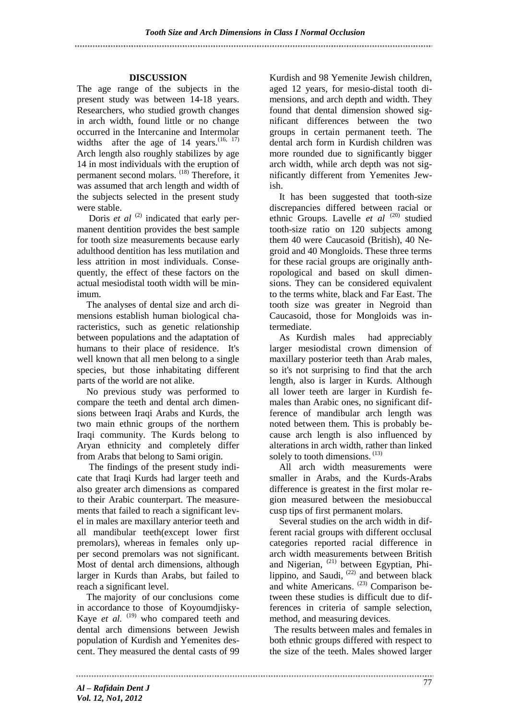## **DISCUSSION**

The age range of the subjects in the present study was between 14-18 years. Researchers, who studied growth changes in arch width, found little or no change occurred in the Intercanine and Intermolar widths after the age of 14 years.  $(16, 17)$ Arch length also roughly stabilizes by age 14 in most individuals with the eruption of permanent second molars. (18) Therefore, it was assumed that arch length and width of the subjects selected in the present study were stable.

Doris *et al* <sup>(2)</sup> indicated that early permanent dentition provides the best sample for tooth size measurements because early adulthood dentition has less mutilation and less attrition in most individuals. Consequently, the effect of these factors on the actual mesiodistal tooth width will be minimum.

The analyses of dental size and arch dimensions establish human biological characteristics, such as genetic relationship between populations and the adaptation of humans to their place of residence. It's well known that all men belong to a single species, but those inhabitating different parts of the world are not alike.

No previous study was performed to compare the teeth and dental arch dimensions between Iraqi Arabs and Kurds, the two main ethnic groups of the northern Iraqi community. The Kurds belong to Aryan ethnicity and completely differ from Arabs that belong to Sami origin.

 The findings of the present study indicate that Iraqi Kurds had larger teeth and also greater arch dimensions as compared to their Arabic counterpart. The measurements that failed to reach a significant level in males are maxillary anterior teeth and all mandibular teeth(except lower first premolars), whereas in females only upper second premolars was not significant. Most of dental arch dimensions, although larger in Kurds than Arabs, but failed to reach a significant level.

The majority of our conclusions come in accordance to those of Koyoumdjisky-Kaye *et al.* <sup>(19)</sup> who compared teeth and dental arch dimensions between Jewish population of Kurdish and Yemenites descent. They measured the dental casts of 99

Kurdish and 98 Yemenite Jewish children, aged 12 years, for mesio-distal tooth dimensions, and arch depth and width. They found that dental dimension showed significant differences between the two groups in certain permanent teeth. The dental arch form in Kurdish children was more rounded due to significantly bigger arch width, while arch depth was not significantly different from Yemenites Jewish.

It has been suggested that tooth-size discrepancies differed between racial or ethnic Groups. Lavelle *et al* <sup>(20)</sup> studied tooth-size ratio on 120 subjects among them 40 were Caucasoid (British), 40 Negroid and 40 Mongloids. These three terms for these racial groups are originally anthropological and based on skull dimensions. They can be considered equivalent to the terms white, black and Far East. The tooth size was greater in Negroid than Caucasoid, those for Mongloids was intermediate.

As Kurdish males had appreciably larger mesiodistal crown dimension of maxillary posterior teeth than Arab males, so it's not surprising to find that the arch length, also is larger in Kurds. Although all lower teeth are larger in Kurdish females than Arabic ones, no significant difference of mandibular arch length was noted between them. This is probably because arch length is also influenced by alterations in arch width, rather than linked solely to tooth dimensions. (13)

All arch width measurements were smaller in Arabs, and the Kurds-Arabs difference is greatest in the first molar region measured between the mesiobuccal cusp tips of first permanent molars.

Several studies on the arch width in different racial groups with different occlusal categories reported racial difference in arch width measurements between British and Nigerian, <sup>(21)</sup> between Egyptian, Philippino, and Saudi,  $(22)$  and between black and white Americans.<sup>(23)</sup> Comparison between these studies is difficult due to differences in criteria of sample selection, method, and measuring devices.

 The results between males and females in both ethnic groups differed with respect to the size of the teeth. Males showed larger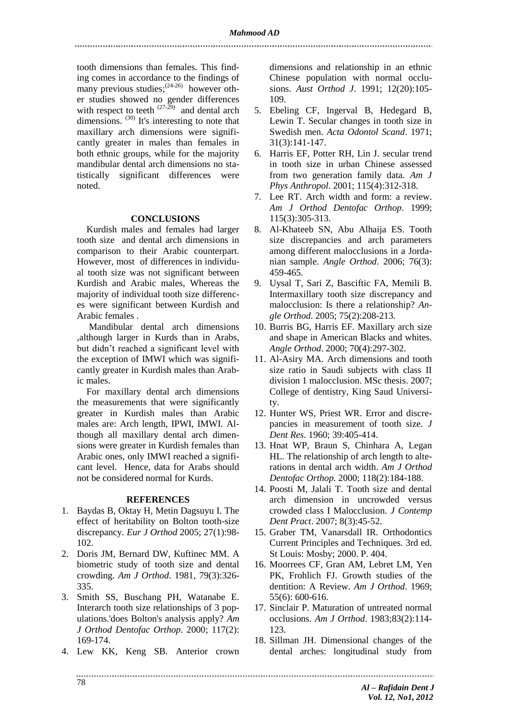tooth dimensions than females. This finding comes in accordance to the findings of many previous studies;  $(24-26)$  however other studies showed no gender differences with respect to teeth  $(27-29)$  and dental arch dimensions.  $(30)$  It's interesting to note that maxillary arch dimensions were significantly greater in males than females in both ethnic groups, while for the majority mandibular dental arch dimensions no statistically significant differences were noted.

#### **CONCLUSIONS**

Kurdish males and females had larger tooth size and dental arch dimensions in comparison to their Arabic counterpart. However, most of differences in individual tooth size was not significant between Kurdish and Arabic males, Whereas the majority of individual tooth size differences were significant between Kurdish and Arabic females .

 Mandibular dental arch dimensions ,although larger in Kurds than in Arabs, but didn't reached a significant level with the exception of IMWI which was significantly greater in Kurdish males than Arabic males.

For maxillary dental arch dimensions the measurements that were significantly greater in Kurdish males than Arabic males are: Arch length, IPWI, IMWI. Although all maxillary dental arch dimensions were greater in Kurdish females than Arabic ones, only IMWI reached a significant level. Hence, data for Arabs should not be considered normal for Kurds.

#### **REFERENCES**

- 1. Baydas B, Oktay H, Metin Dagsuyu I. The effect of heritability on Bolton tooth-size discrepancy. *Eur J Orthod* 2005; 27(1):98- 102.
- 2. Doris JM, Bernard DW, Kuftinec MM. A biometric study of tooth size and dental crowding. *Am J Orthod*. 1981, 79(3):326- 335.
- 3. Smith SS, Buschang PH, Watanabe E. Interarch tooth size relationships of 3 populations.'does Bolton's analysis apply? *Am J Orthod Dentofac Orthop*. 2000; 117(2): 169-174.
- 4. Lew KK, Keng SB. Anterior crown

dimensions and relationship in an ethnic Chinese population with normal occlusions. *Aust Orthod J*. 1991; 12(20):105- 109.

- 5. Ebeling CF, Ingerval B, Hedegard B, Lewin T. Secular changes in tooth size in Swedish men. *Acta Odontol Scand*. 1971; 31(3):141-147.
- 6. Harris EF, Potter RH, Lin J. secular trend in tooth size in urban Chinese assessed from two generation family data. *Am J Phys Anthropol*. 2001; 115(4):312-318.
- 7. Lee RT. Arch width and form: a review. *Am J Orthod Dentofac Orthop*. 1999; 115(3):305-313.
- 8. Al-Khateeb SN, Abu Alhaija ES. Tooth size discrepancies and arch parameters among different malocclusions in a Jordanian sample. *Angle Orthod*. 2006; 76(3): 459-465.
- 9. Uysal T, Sari Z, Basciftic FA, Memili B. Intermaxillary tooth size discrepancy and malocclusion: Is there a relationship? *Angle Orthod*. 2005; 75(2):208-213.
- 10. Burris BG, Harris EF. Maxillary arch size and shape in American Blacks and whites. *Angle Orthod*. 2000; 70(4):297-302.
- 11. Al-Asiry MA. Arch dimensions and tooth size ratio in Saudi subjects with class II division 1 malocclusion. MSc thesis. 2007; College of dentistry, King Saud University.
- 12. Hunter WS, Priest WR. Error and discrepancies in measurement of tooth size. *J Dent Res.* 1960; 39:405-414.
- 13. Hnat WP, Braun S, Chinhara A, Legan HL. The relationship of arch length to alterations in dental arch width. *Am J Orthod Dentofac Orthop.* 2000; 118(2):184-188.
- 14. Poosti M, Jalali T. Tooth size and dental arch dimension in uncrowded versus crowded class I Malocclusion. *J Contemp Dent Pract*. 2007; 8(3):45-52.
- 15. Graber TM, Vanarsdall IR. Orthodontics Current Principles and Techniques. 3rd ed. St Louis: Mosby; 2000. P. 404.
- 16. Moorrees CF, Gran AM, Lebret LM, Yen PK, Frohlich FJ. Growth studies of the dentition: A Review. *Am J Orthod*. 1969; 55(6): 600-616.
- 17. Sinclair P. Maturation of untreated normal occlusions. *Am J Orthod*. 1983;83(2):114-  $123.$
- 18. Sillman JH. Dimensional changes of the dental arches: longitudinal study from